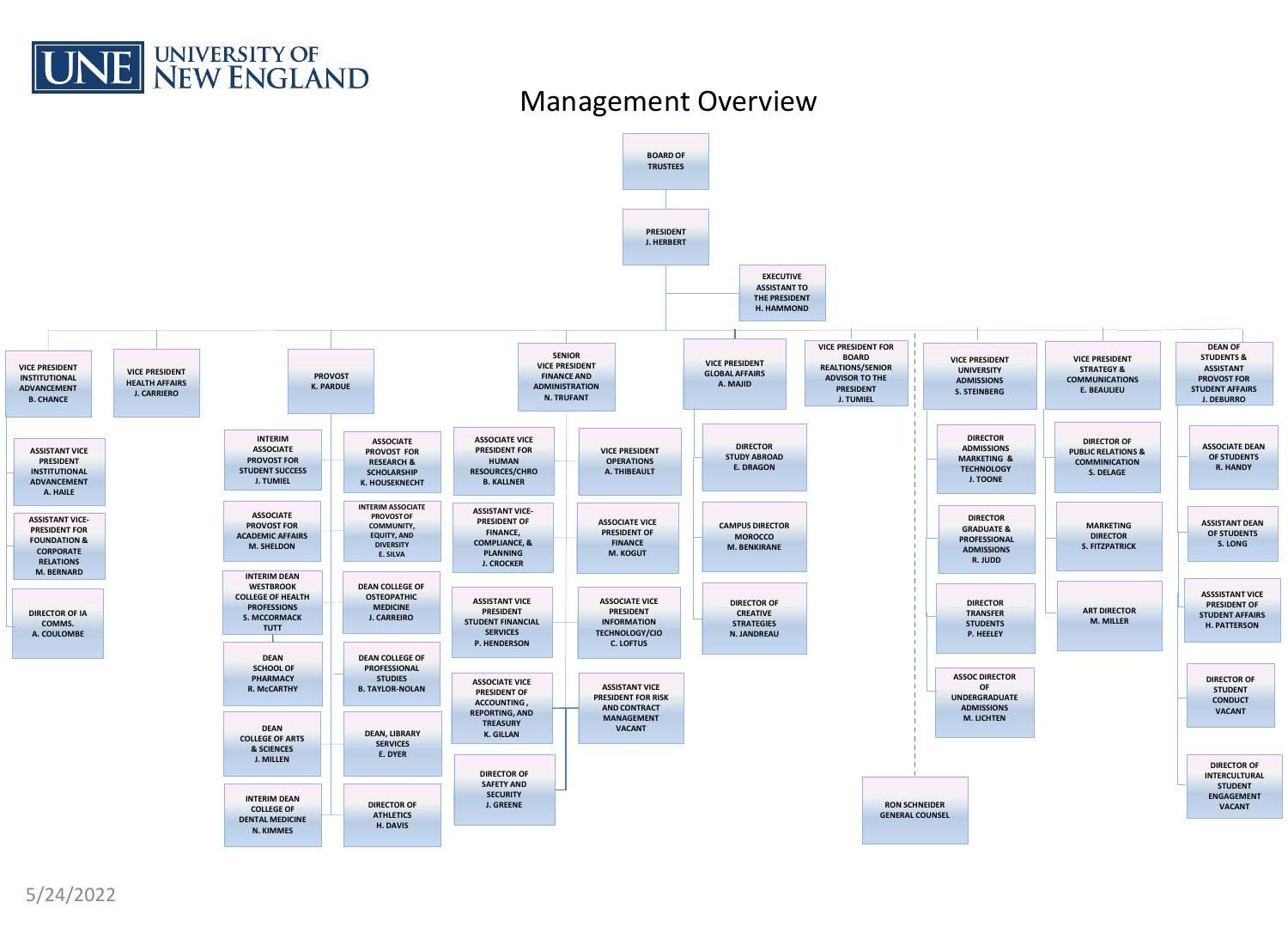

#### Management Overview

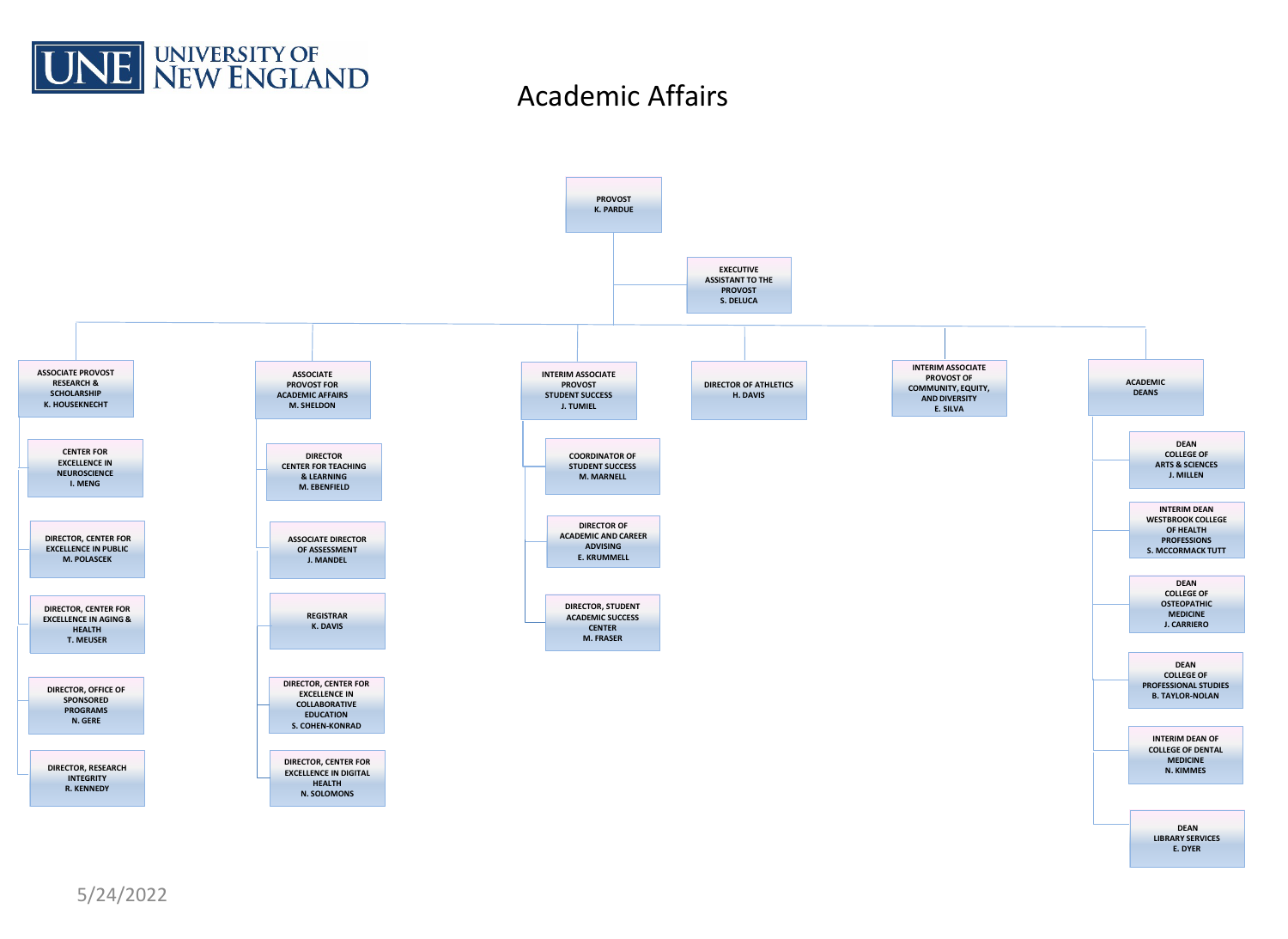

### Academic Affairs



5/24/2022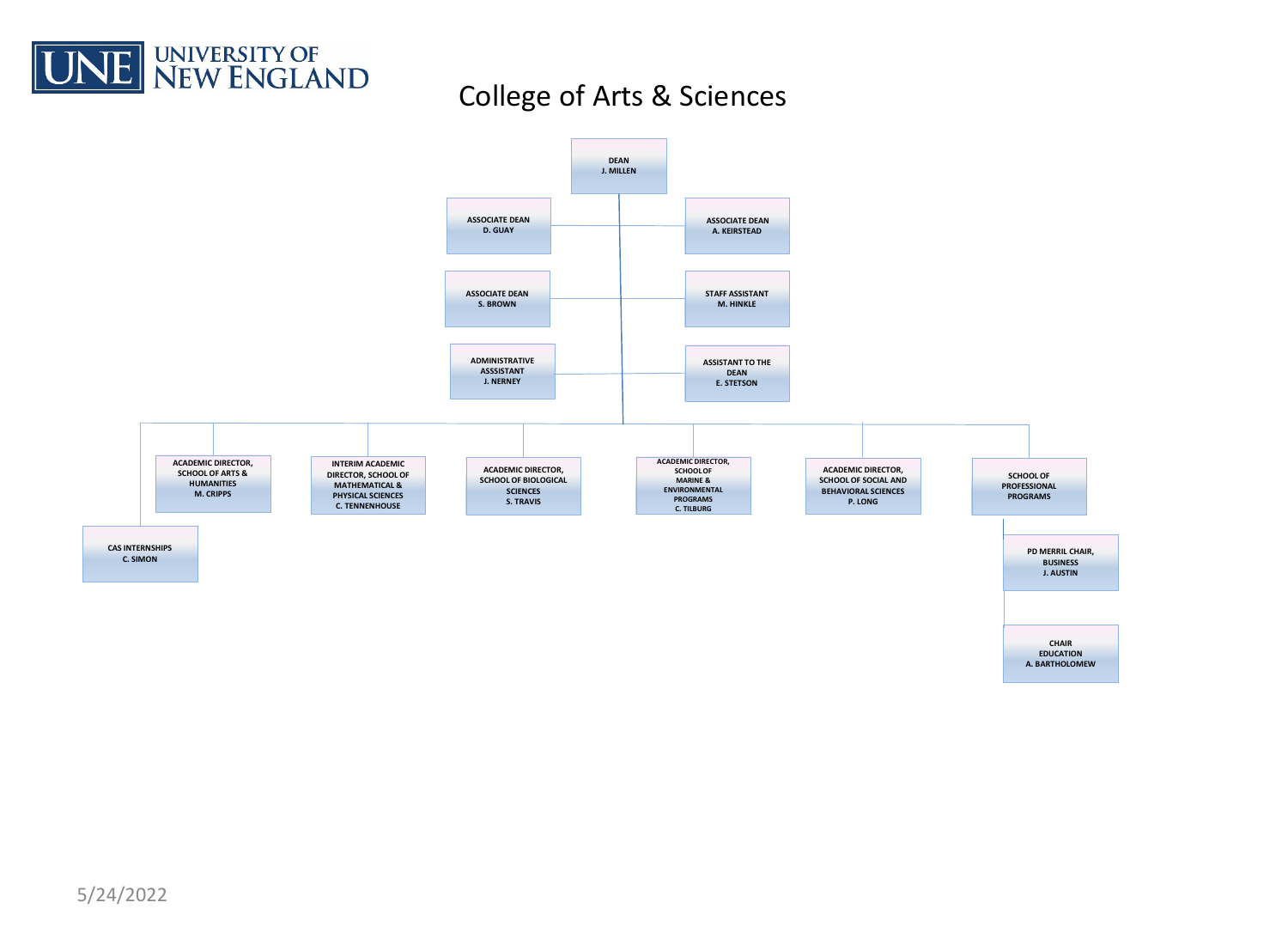

## College of Arts & Sciences

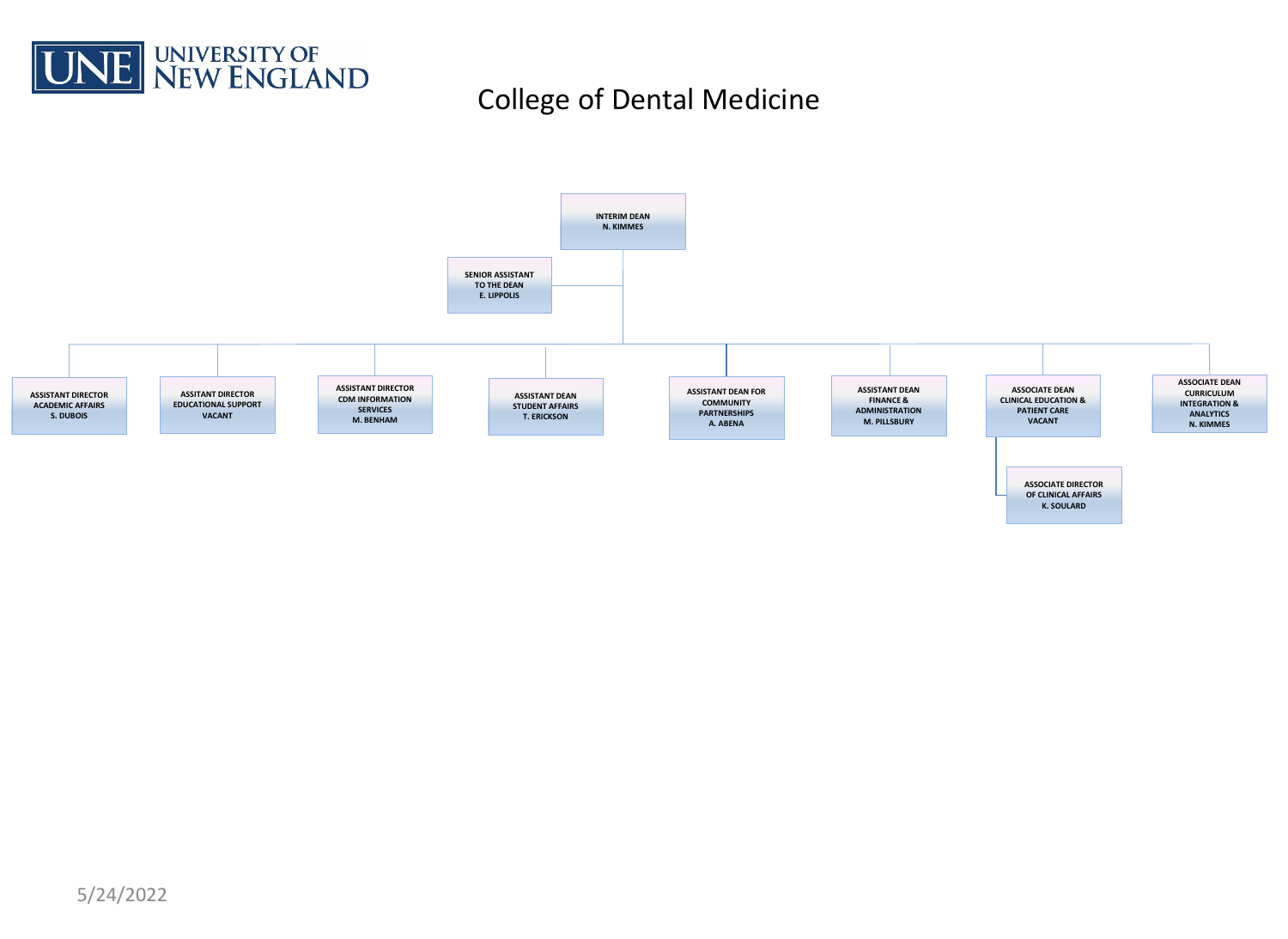

# College of Dental Medicine

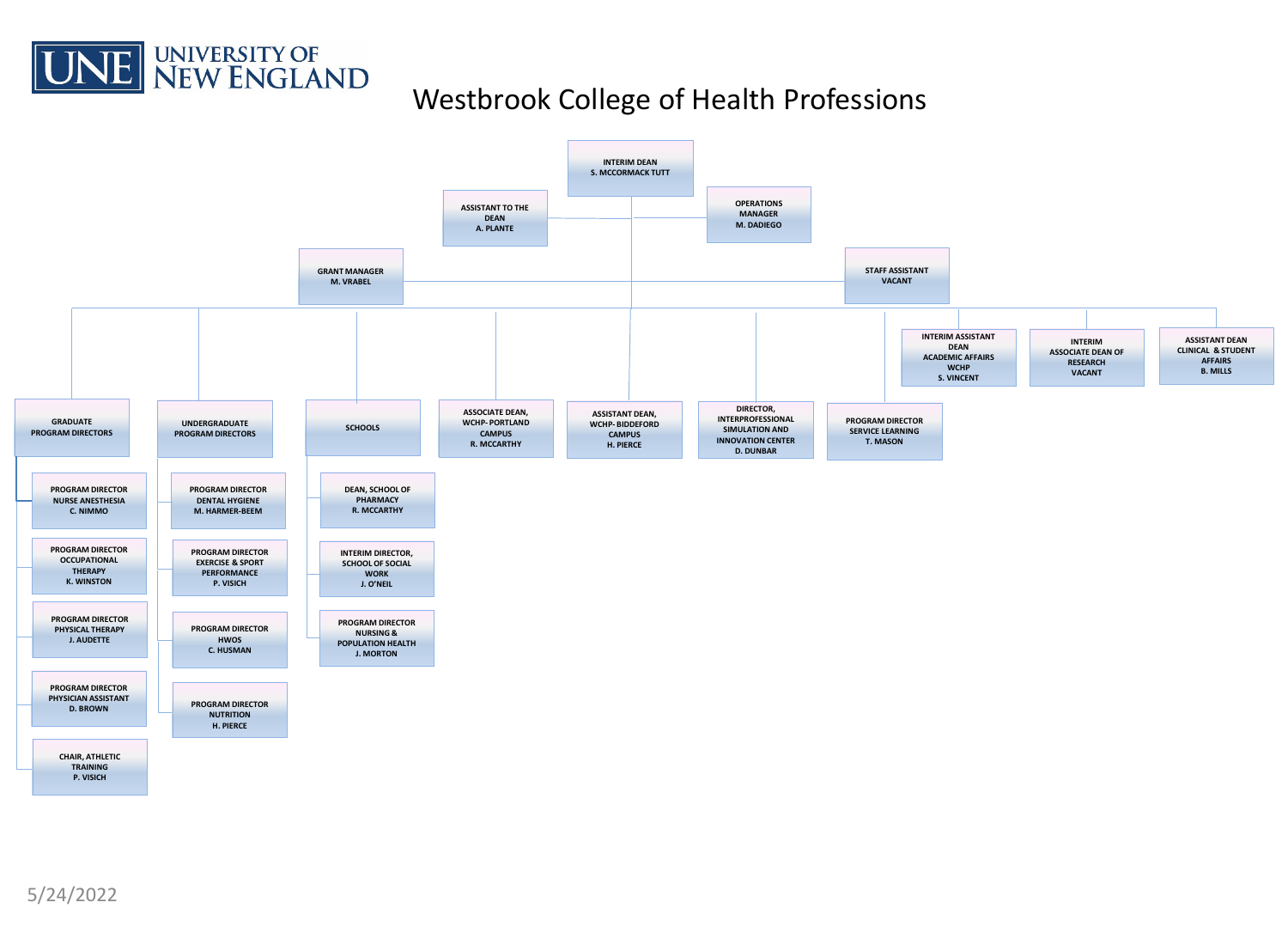

## Westbrook College of Health Professions

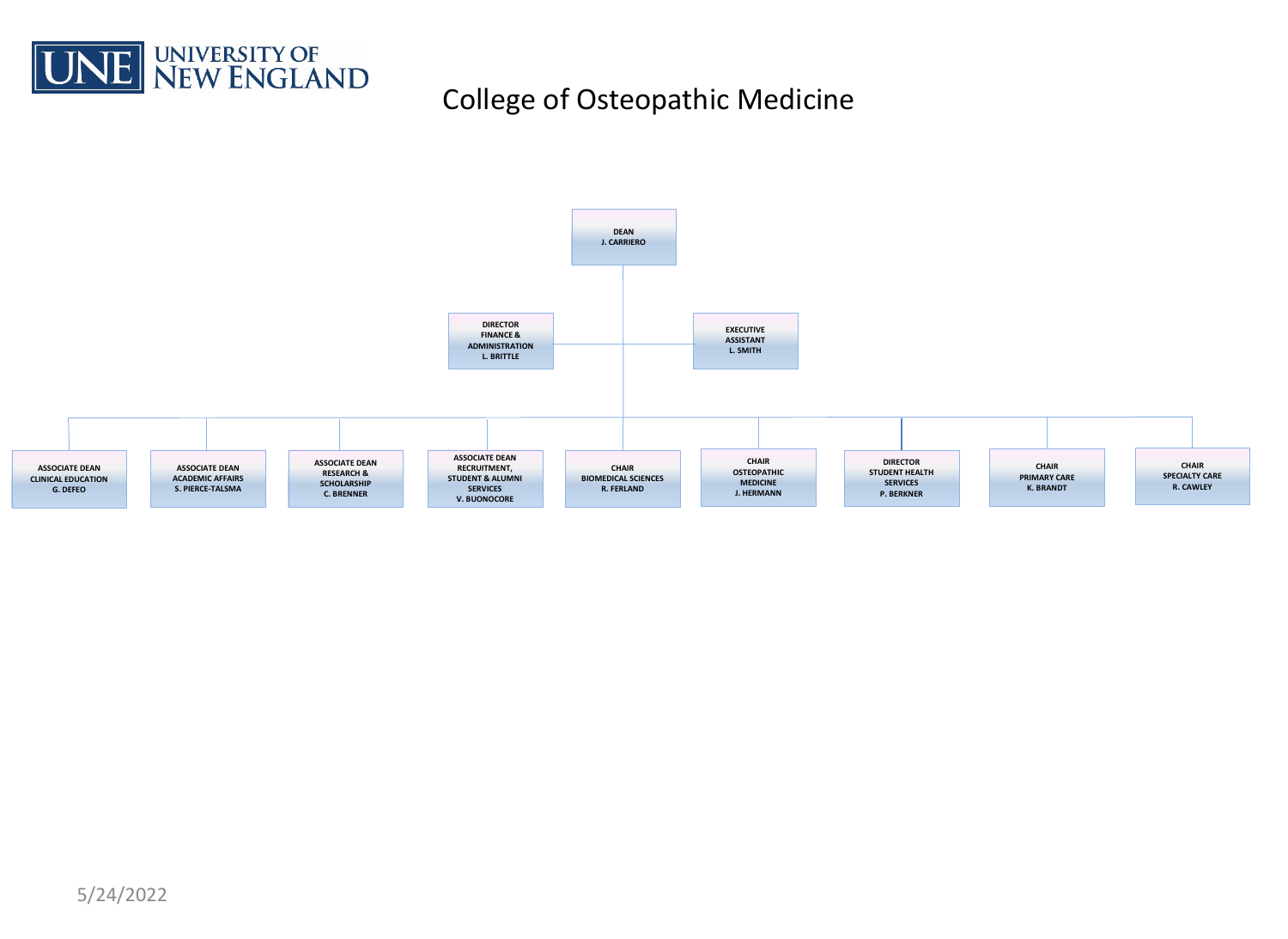

# College of Osteopathic Medicine

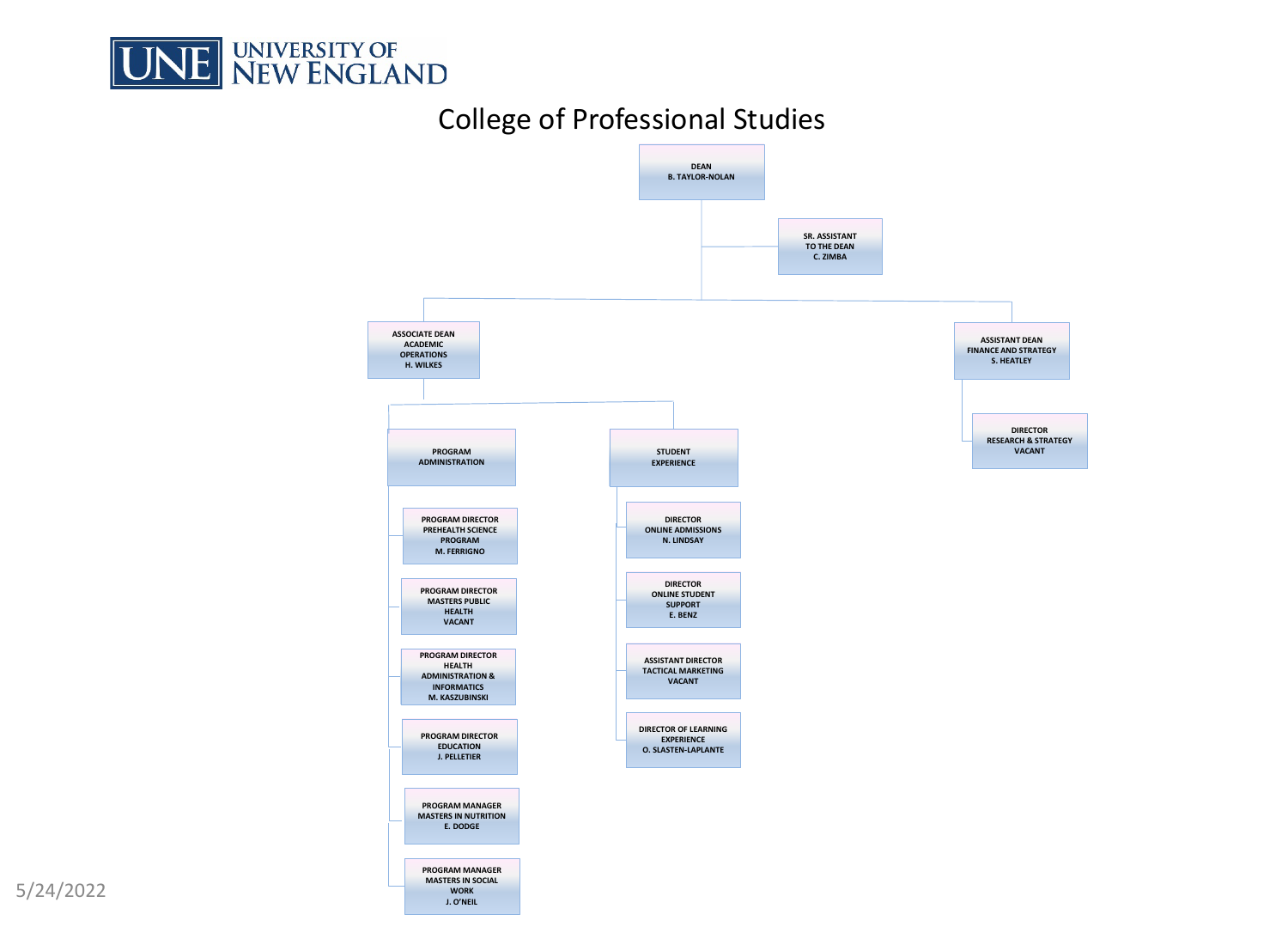

## College of Professional Studies



5/24/2022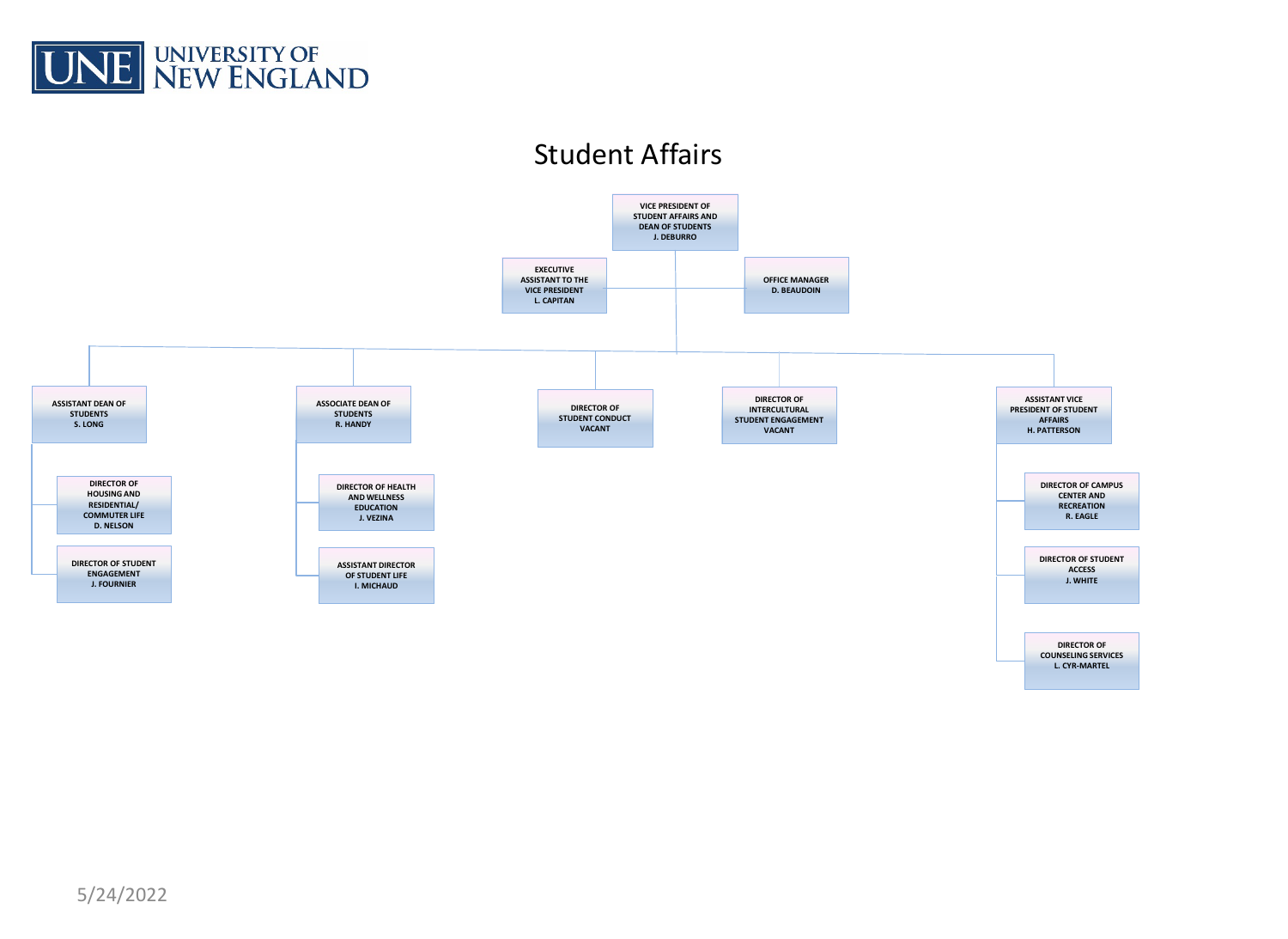

## Student Affairs

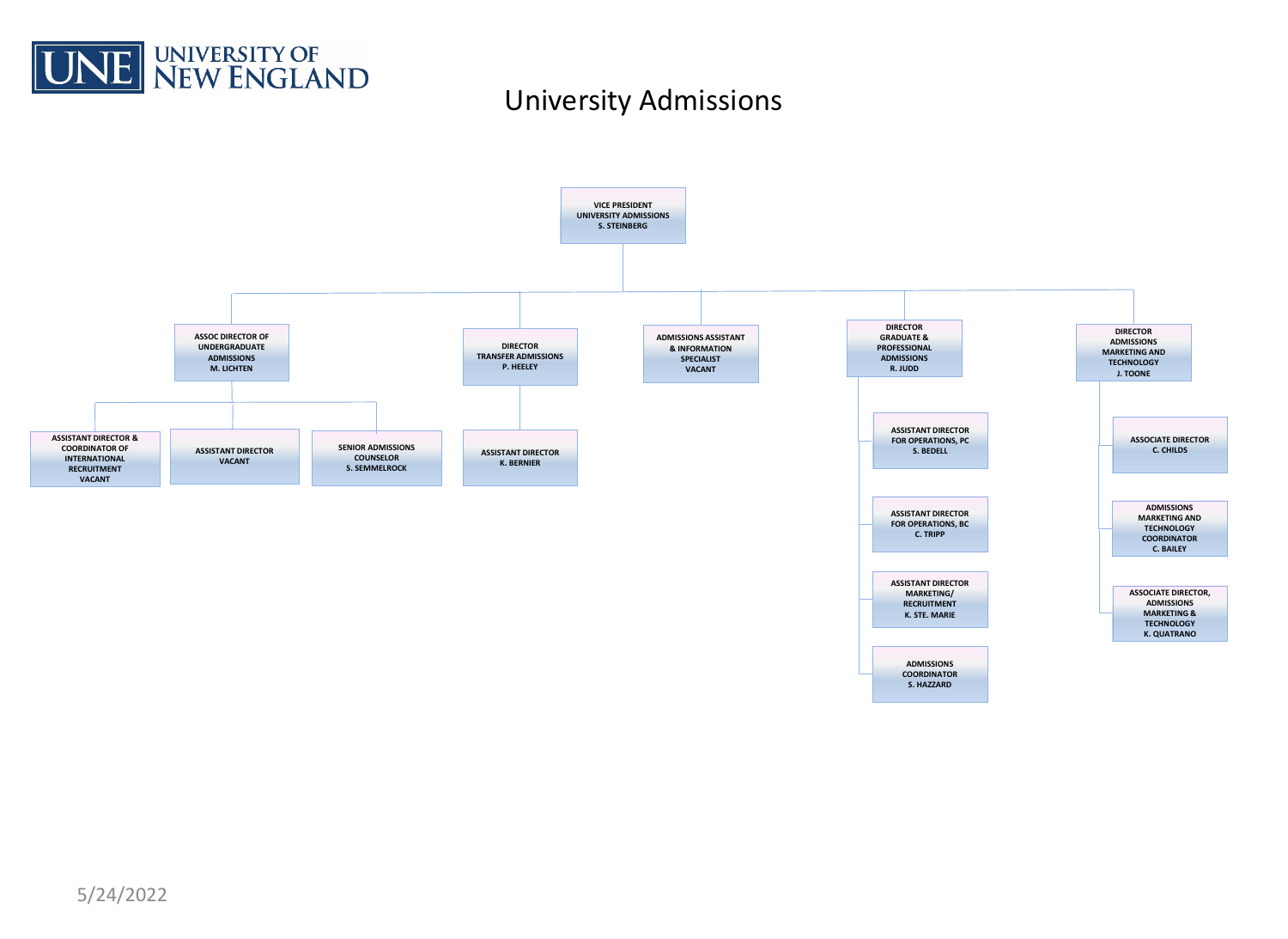

## University Admissions

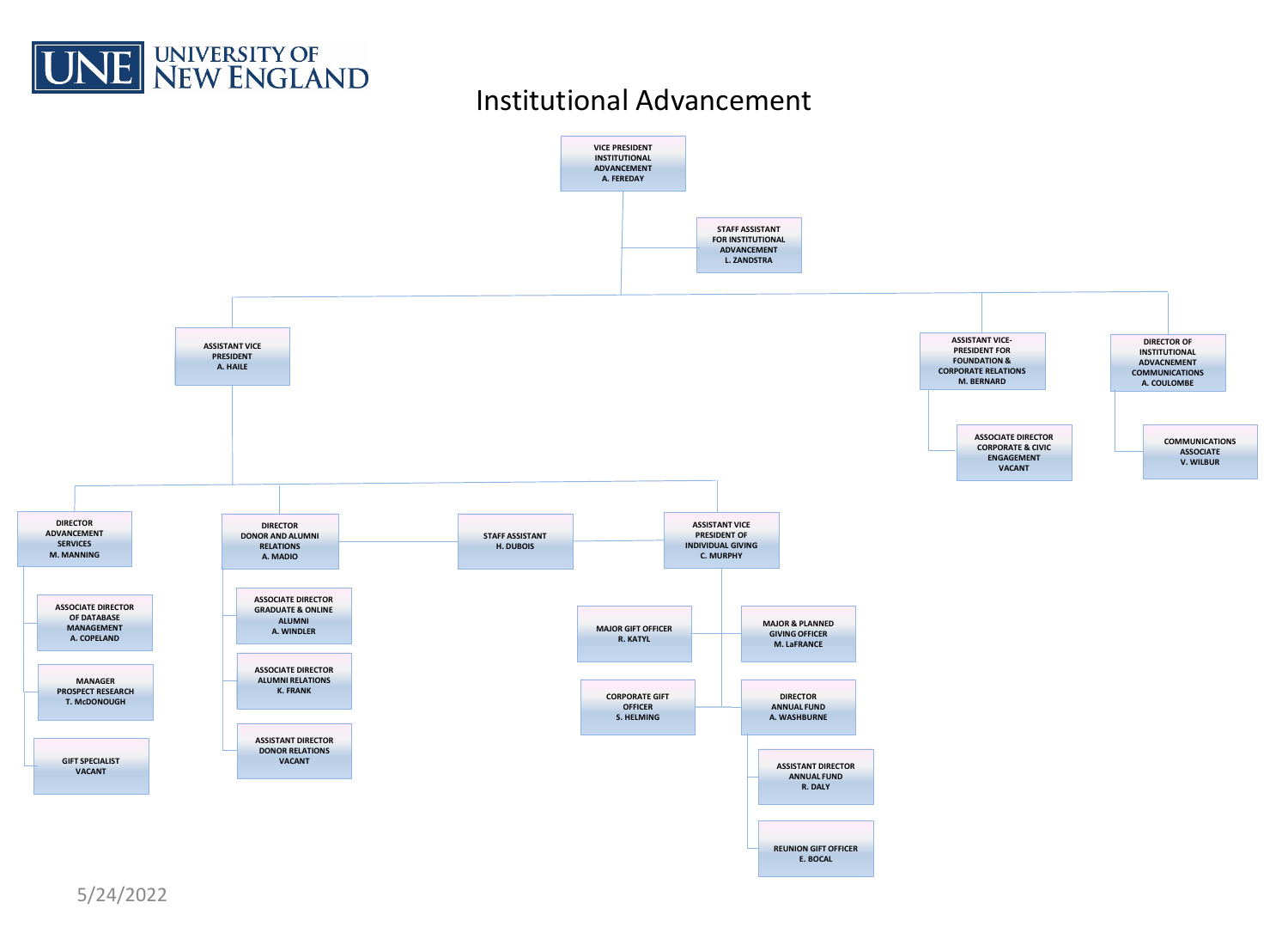

# Institutional Advancement

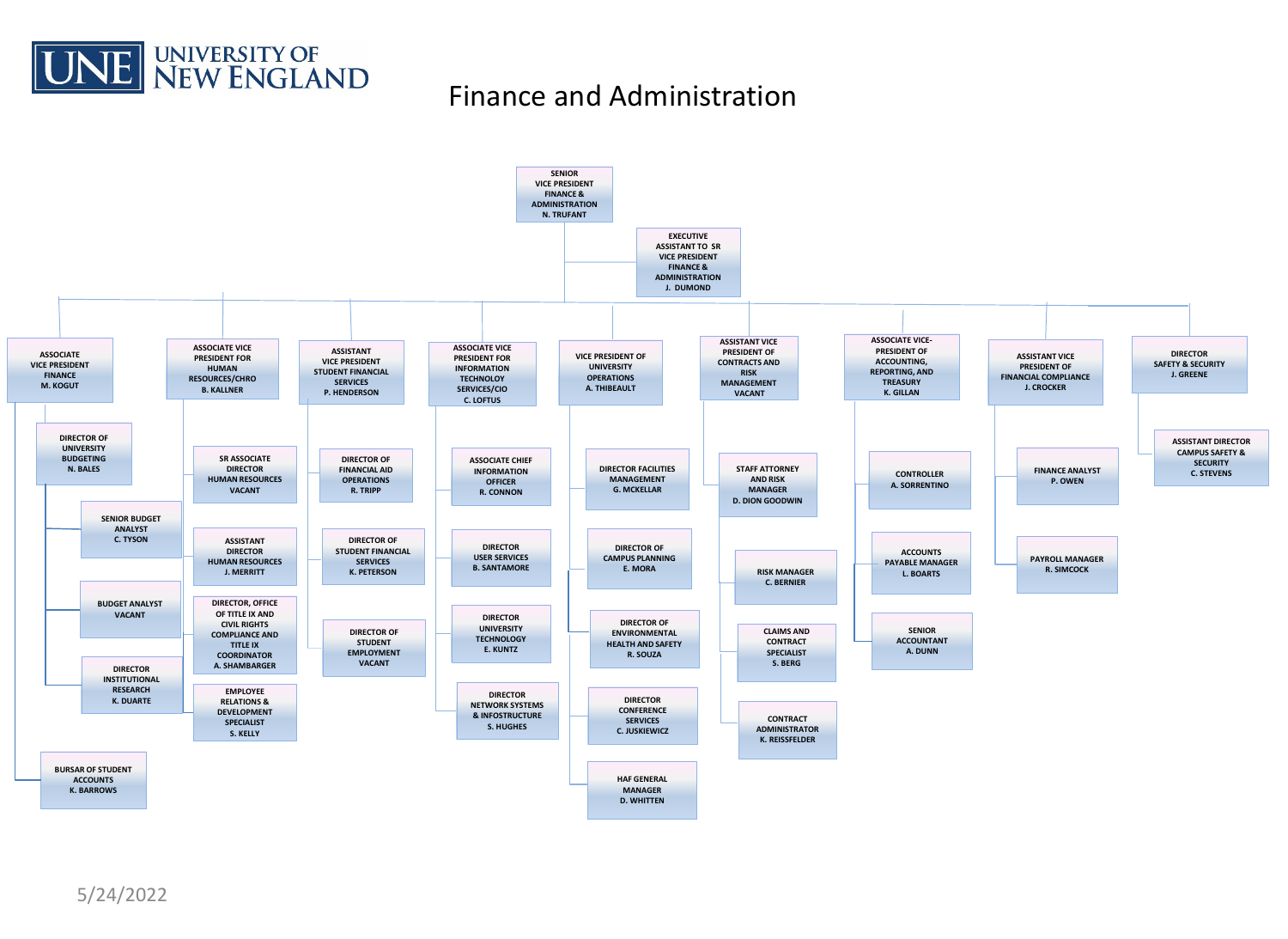

#### Finance and Administration

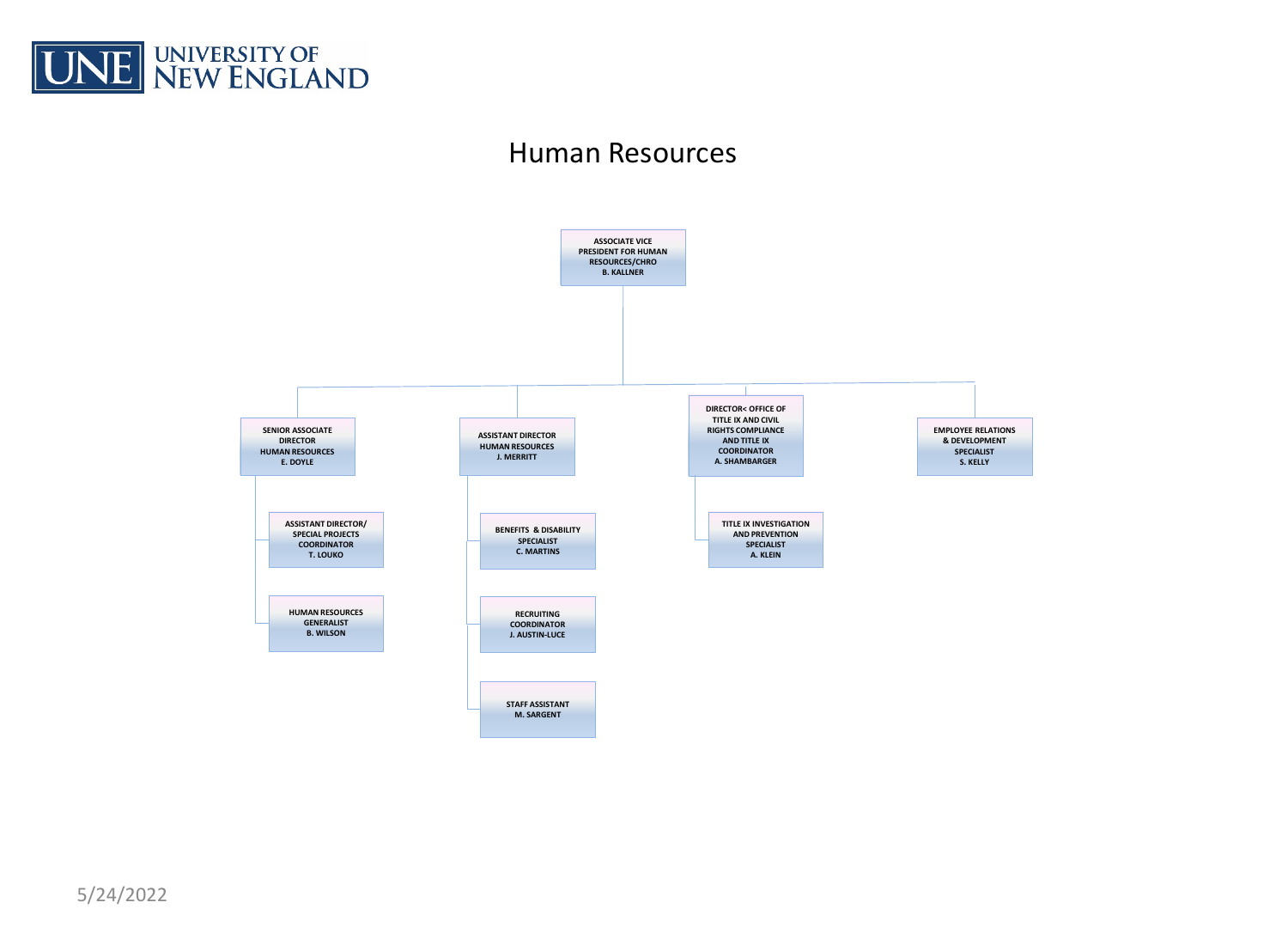

#### Human Resources

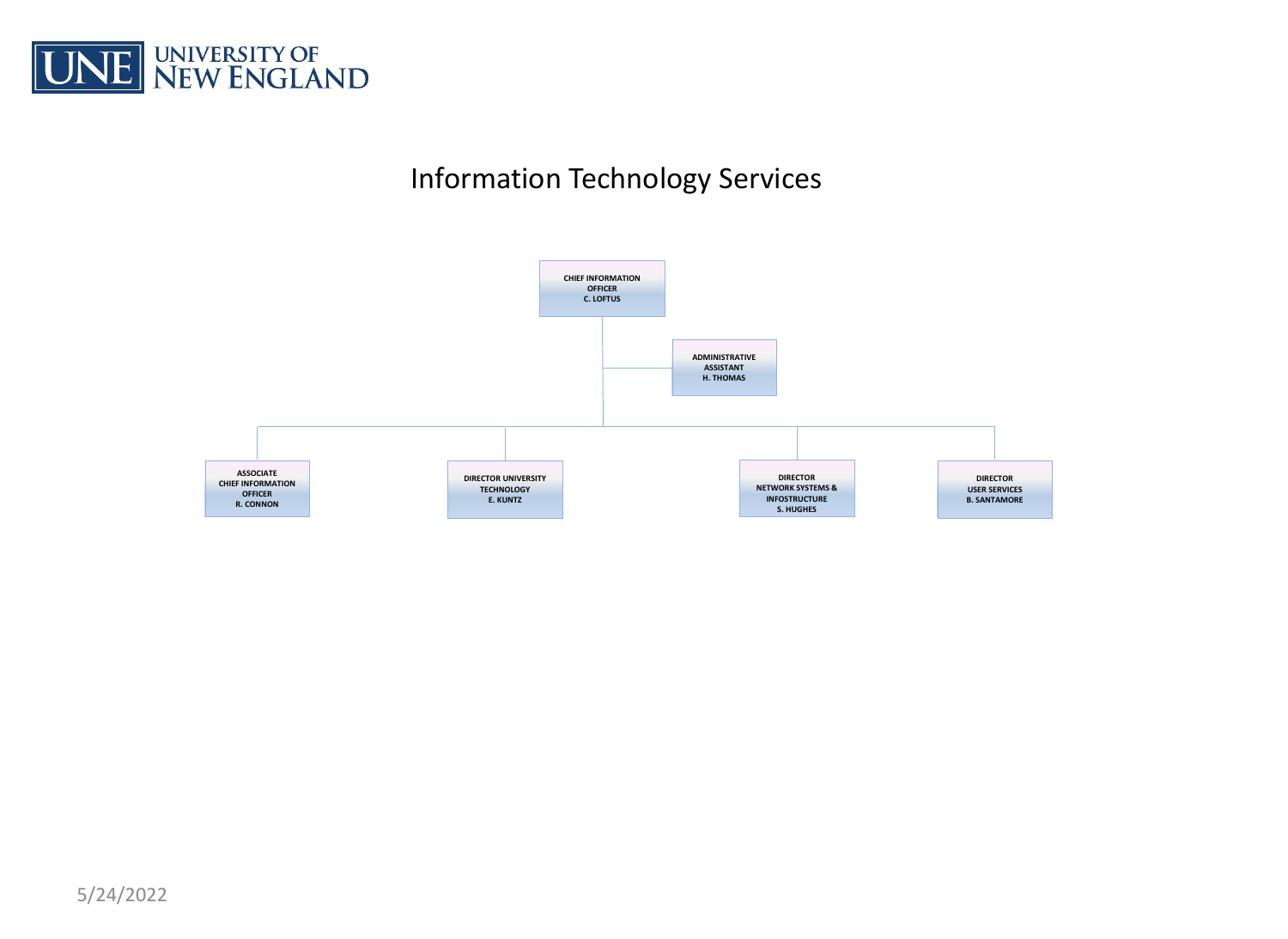

# Information Technology Services

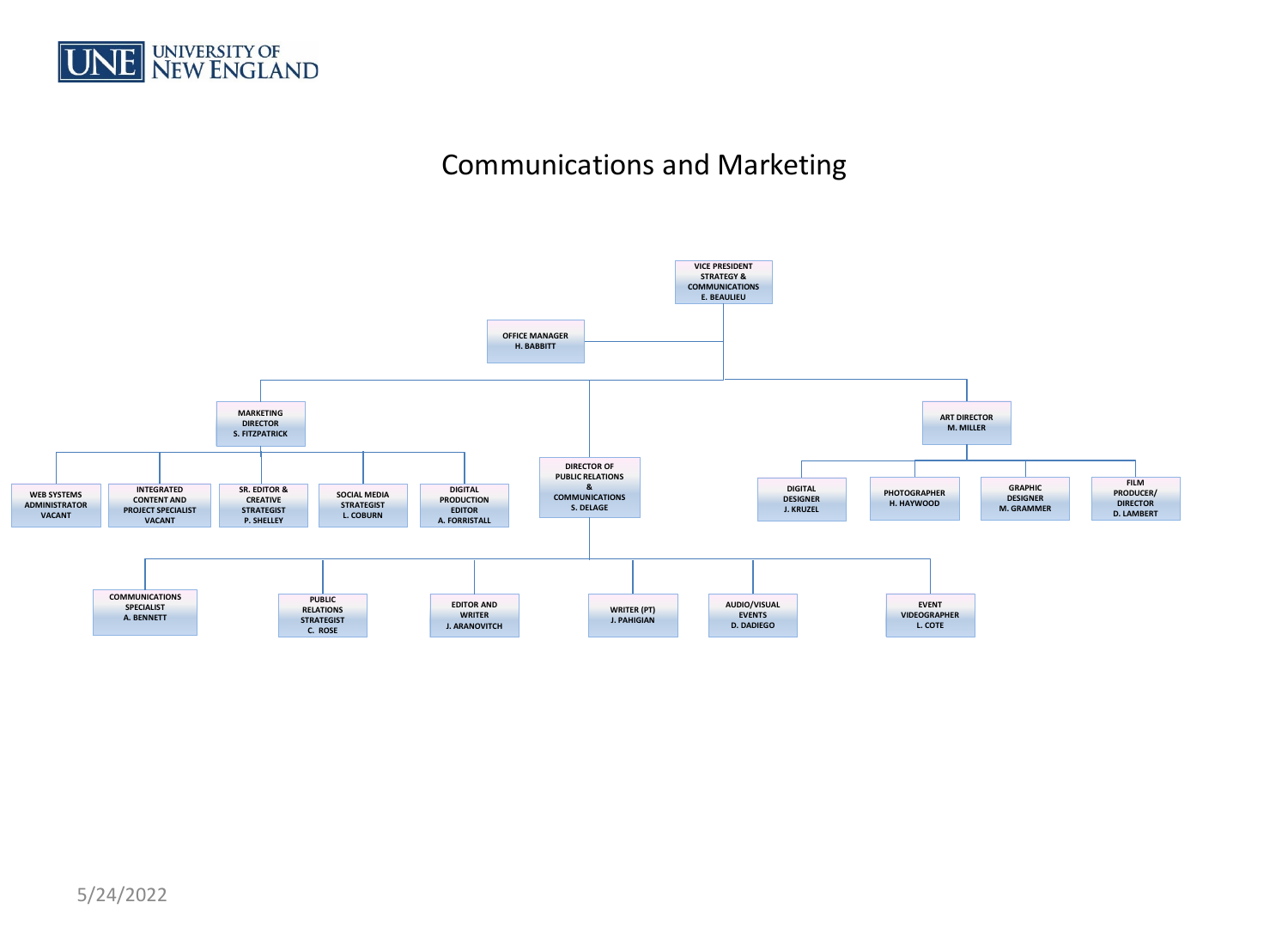

## Communications and Marketing

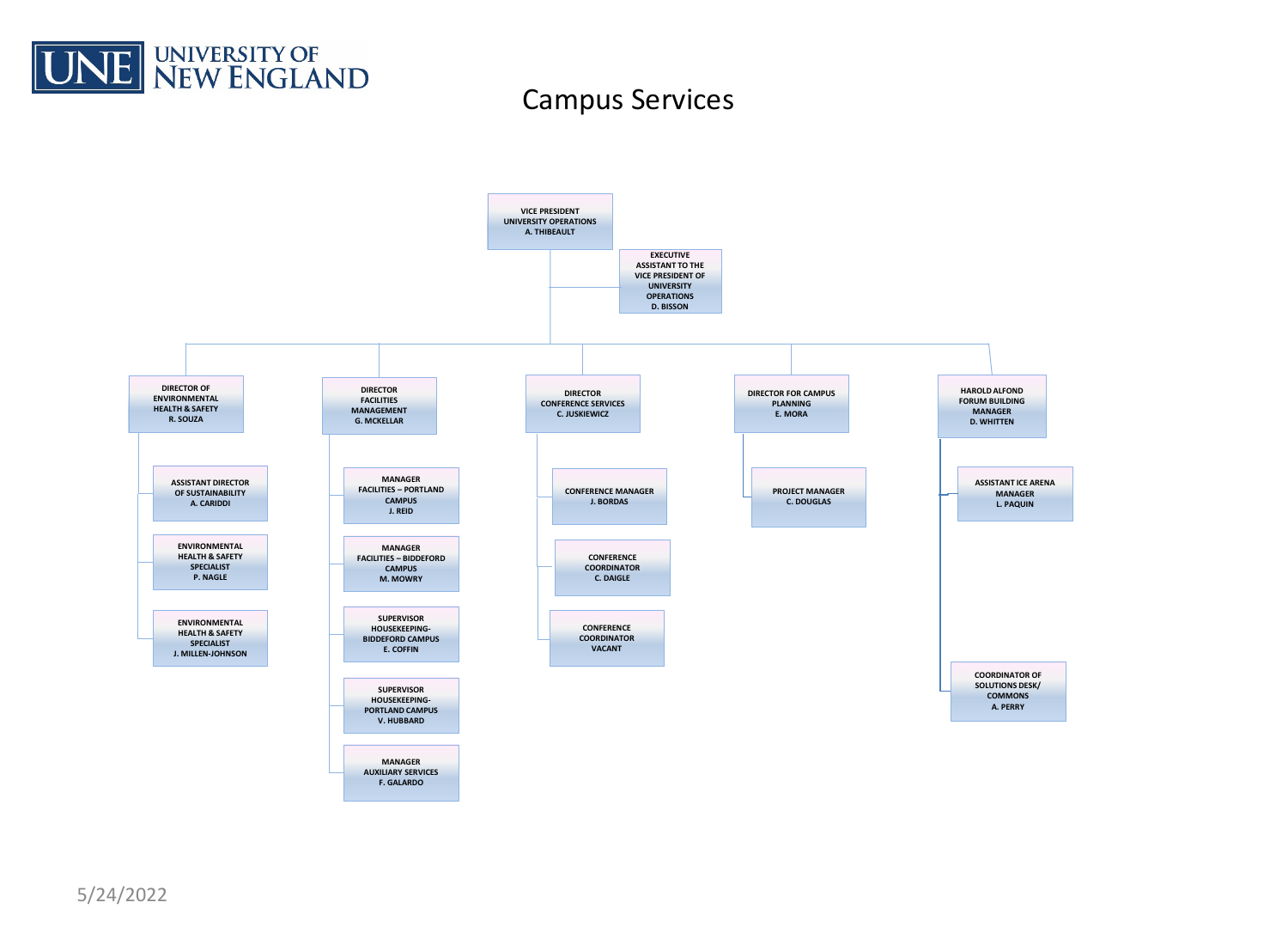

#### Campus Services